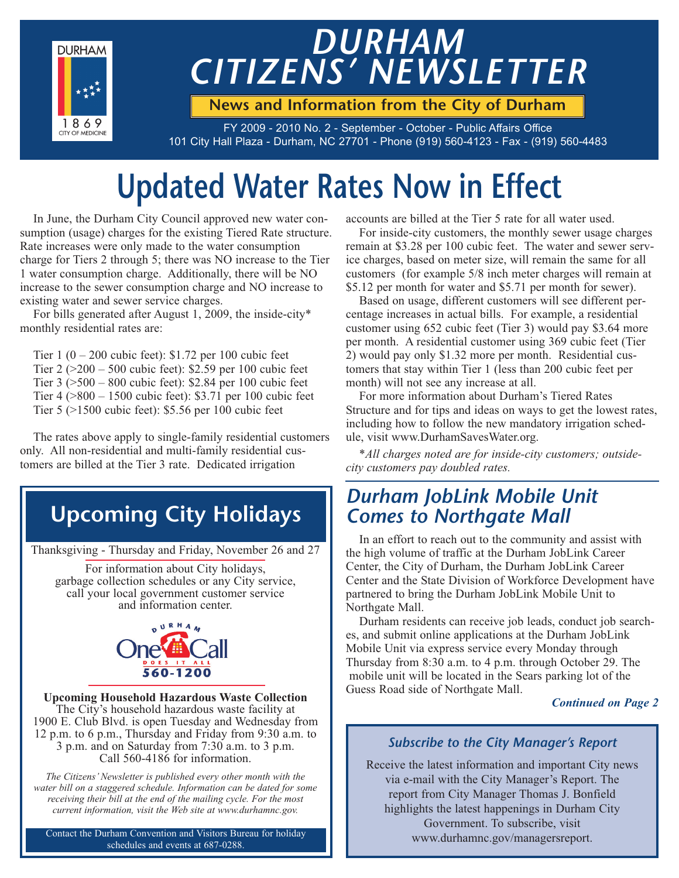

# *DURHAM CITIZENS' NEWSLETTER*

**News and Information from the City of Durham**

FY 2009 - 2010 No. 2 - September - October - Public Affairs Office 101 City Hall Plaza - Durham, NC 27701 - Phone (919) 560-4123 - Fax - (919) 560-4483

# **Updated Water Rates Now in Effect**

In June, the Durham City Council approved new water consumption (usage) charges for the existing Tiered Rate structure. Rate increases were only made to the water consumption charge for Tiers 2 through 5; there was NO increase to the Tier 1 water consumption charge. Additionally, there will be NO increase to the sewer consumption charge and NO increase to existing water and sewer service charges.

For bills generated after August 1, 2009, the inside-city\* monthly residential rates are:

Tier  $1 (0 - 200$  cubic feet): \$1.72 per 100 cubic feet Tier 2 (>200 – 500 cubic feet): \$2.59 per 100 cubic feet Tier 3 (>500 – 800 cubic feet): \$2.84 per 100 cubic feet Tier 4 (>800 – 1500 cubic feet): \$3.71 per 100 cubic feet Tier 5 (>1500 cubic feet): \$5.56 per 100 cubic feet

The rates above apply to single-family residential customers only. All non-residential and multi-family residential customers are billed at the Tier 3 rate. Dedicated irrigation

### **Upcoming City Holidays**

Thanksgiving - Thursday and Friday, November 26 and 27

For information about City holidays, garbage collection schedules or any City service, call your local government customer service and information center.



**Upcoming Household Hazardous Waste Collection** The City's household hazardous waste facility at 1900 E. Club Blvd. is open Tuesday and Wednesday from 12 p.m. to 6 p.m., Thursday and Friday from 9:30 a.m. to 3 p.m. and on Saturday from 7:30 a.m. to 3 p.m. Call 560-4186 for information.

*The Citizens' Newsletter is published every other month with the water bill on a staggered schedule. Information can be dated for some receiving their bill at the end of the mailing cycle. For the most current information, visit the Web site at www.durhamnc.gov.*

Contact the Durham Convention and Visitors Bureau for holiday schedules and events at 687-0288.

accounts are billed at the Tier 5 rate for all water used.

For inside-city customers, the monthly sewer usage charges remain at \$3.28 per 100 cubic feet. The water and sewer service charges, based on meter size, will remain the same for all customers (for example 5/8 inch meter charges will remain at \$5.12 per month for water and \$5.71 per month for sewer).

Based on usage, different customers will see different percentage increases in actual bills. For example, a residential customer using 652 cubic feet (Tier 3) would pay \$3.64 more per month. A residential customer using 369 cubic feet (Tier 2) would pay only \$1.32 more per month. Residential customers that stay within Tier 1 (less than 200 cubic feet per month) will not see any increase at all.

For more information about Durham's Tiered Rates Structure and for tips and ideas on ways to get the lowest rates, including how to follow the new mandatory irrigation schedule, visit www.DurhamSavesWater.org.

*\*All charges noted are for inside-city customers; outsidecity customers pay doubled rates.*

### *Durham JobLink Mobile Unit Comes to Northgate Mall*

In an effort to reach out to the community and assist with the high volume of traffic at the Durham JobLink Career Center, the City of Durham, the Durham JobLink Career Center and the State Division of Workforce Development have partnered to bring the Durham JobLink Mobile Unit to Northgate Mall.

Durham residents can receive job leads, conduct job searches, and submit online applications at the Durham JobLink Mobile Unit via express service every Monday through Thursday from 8:30 a.m. to 4 p.m. through October 29. The mobile unit will be located in the Sears parking lot of the Guess Road side of Northgate Mall.

#### *Continued on Page 2*

#### *Subscribe to the City Manager's Report*

Receive the latest information and important City news via e-mail with the City Manager's Report. The report from City Manager Thomas J. Bonfield highlights the latest happenings in Durham City Government. To subscribe, visit www.durhamnc.gov/managersreport.